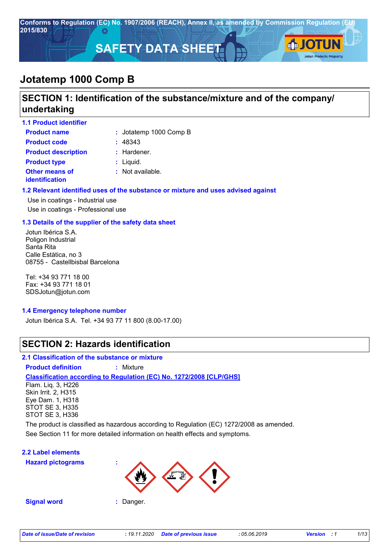

# **SECTION 1: Identification of the substance/mixture and of the company/ undertaking**

| <b>1.1 Product identifier</b>           |                             |
|-----------------------------------------|-----------------------------|
| <b>Product name</b>                     | : Jotatemp 1000 Comp B      |
| <b>Product code</b>                     | : 48343                     |
| <b>Product description</b>              | : Hardener.                 |
| <b>Product type</b>                     | $:$ Liquid.                 |
| <b>Other means of</b><br>identification | $\therefore$ Not available. |

## **1.2 Relevant identified uses of the substance or mixture and uses advised against**

Use in coatings - Industrial use Use in coatings - Professional use

## **1.3 Details of the supplier of the safety data sheet**

Jotun Ibérica S.A. Poligon Industrial Santa Rita Calle Estàtica, no 3 08755 - Castellbisbal Barcelona

Tel: +34 93 771 18 00 Fax: +34 93 771 18 01 SDSJotun@jotun.com

### **1.4 Emergency telephone number**

Jotun Ibérica S.A. Tel. +34 93 77 11 800 (8.00-17.00)

## **SECTION 2: Hazards identification**

## **2.1 Classification of the substance or mixture**

**Product definition :** Mixture

### **Classification according to Regulation (EC) No. 1272/2008 [CLP/GHS]**

Flam. Liq. 3, H226 Skin Irrit. 2, H315 Eye Dam. 1, H318 STOT SE 3, H335 STOT SE 3, H336

See Section 11 for more detailed information on health effects and symptoms. The product is classified as hazardous according to Regulation (EC) 1272/2008 as amended.

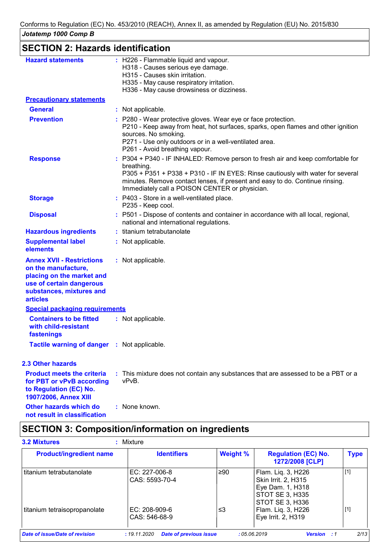| Jotatemp 1000 Comp B                     |                                                                                                                                                                                                                                                                                     |
|------------------------------------------|-------------------------------------------------------------------------------------------------------------------------------------------------------------------------------------------------------------------------------------------------------------------------------------|
| <b>SECTION 2: Hazards identification</b> |                                                                                                                                                                                                                                                                                     |
| <b>Hazard statements</b>                 | : H226 - Flammable liquid and vapour.<br>H318 - Causes serious eye damage.<br>H315 - Causes skin irritation.<br>H335 - May cause respiratory irritation.<br>H336 - May cause drowsiness or dizziness.                                                                               |
| <b>Precautionary statements</b>          |                                                                                                                                                                                                                                                                                     |
| <b>General</b>                           | : Not applicable.                                                                                                                                                                                                                                                                   |
| <b>Prevention</b>                        | : P280 - Wear protective gloves. Wear eye or face protection.<br>P210 - Keep away from heat, hot surfaces, sparks, open flames and of<br>sources. No smoking.<br>P271 - Use only outdoors or in a well-ventilated area.<br>P261 - Avoid breathing vapour.                           |
| <b>Response</b>                          | : P304 + P340 - IF INHALED: Remove person to fresh air and keep com<br>breathing.<br>P305 + P351 + P338 + P310 - IF IN EYES: Rinse cautiously with water<br>minutes. Remove contact lenses, if present and easy to do. Continue r<br>Immediately call a POISON CENTER or physician. |
| <b>Storage</b>                           | : P403 - Store in a well-ventilated place.<br>P235 - Keep cool.                                                                                                                                                                                                                     |
| <b>Disposal</b>                          | : P501 - Dispose of contents and container in accordance with all local,<br>national and international regulations.                                                                                                                                                                 |
| <b>Hazardous ingredients</b>             | : titanium tetrabutanolate                                                                                                                                                                                                                                                          |
| والمسابط المقمرة ومحامدته المتحددة       | and Mark and and Rough Lines                                                                                                                                                                                                                                                        |

| <b>Precautionary statements</b>                                                                                                                                 |                                                                                                                                                                                                                                                                                                                    |
|-----------------------------------------------------------------------------------------------------------------------------------------------------------------|--------------------------------------------------------------------------------------------------------------------------------------------------------------------------------------------------------------------------------------------------------------------------------------------------------------------|
| <b>General</b>                                                                                                                                                  | : Not applicable.                                                                                                                                                                                                                                                                                                  |
| <b>Prevention</b>                                                                                                                                               | : P280 - Wear protective gloves. Wear eye or face protection.<br>P210 - Keep away from heat, hot surfaces, sparks, open flames and other ignition<br>sources. No smoking.<br>P271 - Use only outdoors or in a well-ventilated area.<br>P261 - Avoid breathing vapour.                                              |
| <b>Response</b>                                                                                                                                                 | : P304 + P340 - IF INHALED: Remove person to fresh air and keep comfortable for<br>breathing.<br>P305 + P351 + P338 + P310 - IF IN EYES: Rinse cautiously with water for several<br>minutes. Remove contact lenses, if present and easy to do. Continue rinsing.<br>Immediately call a POISON CENTER or physician. |
| <b>Storage</b>                                                                                                                                                  | : P403 - Store in a well-ventilated place.<br>P235 - Keep cool.                                                                                                                                                                                                                                                    |
| <b>Disposal</b>                                                                                                                                                 | : P501 - Dispose of contents and container in accordance with all local, regional,<br>national and international regulations.                                                                                                                                                                                      |
| <b>Hazardous ingredients</b>                                                                                                                                    | : titanium tetrabutanolate                                                                                                                                                                                                                                                                                         |
| <b>Supplemental label</b><br>elements                                                                                                                           | : Not applicable.                                                                                                                                                                                                                                                                                                  |
| <b>Annex XVII - Restrictions</b><br>on the manufacture,<br>placing on the market and<br>use of certain dangerous<br>substances, mixtures and<br><b>articles</b> | : Not applicable.                                                                                                                                                                                                                                                                                                  |
| <b>Special packaging requirements</b>                                                                                                                           |                                                                                                                                                                                                                                                                                                                    |
| <b>Containers to be fitted</b><br>with child-resistant<br>fastenings                                                                                            | : Not applicable.                                                                                                                                                                                                                                                                                                  |
| Tactile warning of danger : Not applicable.                                                                                                                     |                                                                                                                                                                                                                                                                                                                    |
| <b>2.3 Other hazards</b>                                                                                                                                        |                                                                                                                                                                                                                                                                                                                    |
| <b>Product meets the criteria</b><br>for PBT or vPvB according<br>to Regulation (EC) No.<br><b>1907/2006, Annex XIII</b>                                        | : This mixture does not contain any substances that are assessed to be a PBT or a<br>vPvB.                                                                                                                                                                                                                         |
| <b>Other hazards which do</b>                                                                                                                                   | : None known.                                                                                                                                                                                                                                                                                                      |

# **SECTION 3: Composition/information on ingredients**

**not result in classification**

| <b>Product/ingredient name</b> | <b>Identifiers</b>                | <b>Weight %</b> | <b>Regulation (EC) No.</b><br>1272/2008 [CLP]                                                              | <b>Type</b> |
|--------------------------------|-----------------------------------|-----------------|------------------------------------------------------------------------------------------------------------|-------------|
| l titanium tetrabutanolate     | $EC: 227-006-8$<br>CAS: 5593-70-4 | ≥90             | Flam. Liq. 3, H226<br>Skin Irrit. 2, H315<br>Eye Dam. 1, H318<br><b>STOT SE 3, H335</b><br>STOT SE 3, H336 | $[1]$       |
| titanium tetraisopropanolate   | EC: 208-909-6<br>CAS: 546-68-9    | ≤3              | Flam. Liq. 3, H226<br>Eye Irrit. 2, H319                                                                   | $[1]$       |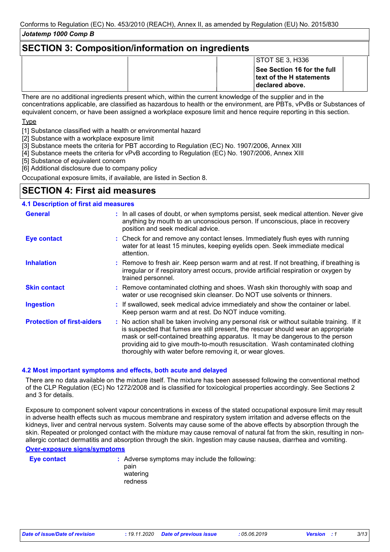# **SECTION 3: Composition/information on ingredients**

| STOTSE 3, H336                                                             |
|----------------------------------------------------------------------------|
| See Section 16 for the full<br>text of the H statements<br>declared above. |

There are no additional ingredients present which, within the current knowledge of the supplier and in the concentrations applicable, are classified as hazardous to health or the environment, are PBTs, vPvBs or Substances of equivalent concern, or have been assigned a workplace exposure limit and hence require reporting in this section.

Type

[1] Substance classified with a health or environmental hazard

[2] Substance with a workplace exposure limit

- [3] Substance meets the criteria for PBT according to Regulation (EC) No. 1907/2006, Annex XIII
- [4] Substance meets the criteria for vPvB according to Regulation (EC) No. 1907/2006, Annex XIII

[5] Substance of equivalent concern

[6] Additional disclosure due to company policy

Occupational exposure limits, if available, are listed in Section 8.

# **SECTION 4: First aid measures**

## **4.1 Description of first aid measures**

| <b>General</b>                    | : In all cases of doubt, or when symptoms persist, seek medical attention. Never give<br>anything by mouth to an unconscious person. If unconscious, place in recovery<br>position and seek medical advice.                                                                                                                                                                                                     |
|-----------------------------------|-----------------------------------------------------------------------------------------------------------------------------------------------------------------------------------------------------------------------------------------------------------------------------------------------------------------------------------------------------------------------------------------------------------------|
| <b>Eye contact</b>                | : Check for and remove any contact lenses. Immediately flush eyes with running<br>water for at least 15 minutes, keeping eyelids open. Seek immediate medical<br>attention.                                                                                                                                                                                                                                     |
| <b>Inhalation</b>                 | : Remove to fresh air. Keep person warm and at rest. If not breathing, if breathing is<br>irregular or if respiratory arrest occurs, provide artificial respiration or oxygen by<br>trained personnel.                                                                                                                                                                                                          |
| <b>Skin contact</b>               | : Remove contaminated clothing and shoes. Wash skin thoroughly with soap and<br>water or use recognised skin cleanser. Do NOT use solvents or thinners.                                                                                                                                                                                                                                                         |
| <b>Ingestion</b>                  | : If swallowed, seek medical advice immediately and show the container or label.<br>Keep person warm and at rest. Do NOT induce vomiting.                                                                                                                                                                                                                                                                       |
| <b>Protection of first-aiders</b> | : No action shall be taken involving any personal risk or without suitable training. If it<br>is suspected that fumes are still present, the rescuer should wear an appropriate<br>mask or self-contained breathing apparatus. It may be dangerous to the person<br>providing aid to give mouth-to-mouth resuscitation. Wash contaminated clothing<br>thoroughly with water before removing it, or wear gloves. |

### **4.2 Most important symptoms and effects, both acute and delayed**

There are no data available on the mixture itself. The mixture has been assessed following the conventional method of the CLP Regulation (EC) No 1272/2008 and is classified for toxicological properties accordingly. See Sections 2 and 3 for details.

Exposure to component solvent vapour concentrations in excess of the stated occupational exposure limit may result in adverse health effects such as mucous membrane and respiratory system irritation and adverse effects on the kidneys, liver and central nervous system. Solvents may cause some of the above effects by absorption through the skin. Repeated or prolonged contact with the mixture may cause removal of natural fat from the skin, resulting in nonallergic contact dermatitis and absorption through the skin. Ingestion may cause nausea, diarrhea and vomiting.

## **Over-exposure signs/symptoms**

**Eye contact :** Adverse symptoms may include the following: pain watering redness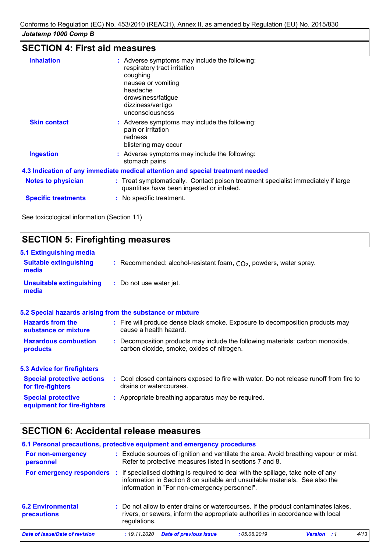# **SECTION 4: First aid measures**

| <b>Inhalation</b>          | : Adverse symptoms may include the following:<br>respiratory tract irritation<br>coughing<br>nausea or vomiting<br>headache<br>drowsiness/fatigue<br>dizziness/vertigo |
|----------------------------|------------------------------------------------------------------------------------------------------------------------------------------------------------------------|
|                            | unconsciousness                                                                                                                                                        |
| <b>Skin contact</b>        | : Adverse symptoms may include the following:<br>pain or irritation<br>redness<br>blistering may occur                                                                 |
| <b>Ingestion</b>           | : Adverse symptoms may include the following:<br>stomach pains                                                                                                         |
|                            | 4.3 Indication of any immediate medical attention and special treatment needed                                                                                         |
| <b>Notes to physician</b>  | : Treat symptomatically. Contact poison treatment specialist immediately if large<br>quantities have been ingested or inhaled.                                         |
| <b>Specific treatments</b> | : No specific treatment.                                                                                                                                               |
|                            |                                                                                                                                                                        |

See toxicological information (Section 11)

# **SECTION 5: Firefighting measures 5.1 Extinguishing media** Recommended: alcohol-resistant foam, CO₂, powders, water spray. **: Suitable extinguishing media**

| <b>Unsuitable extinguishing</b> | : Do not use water jet. |
|---------------------------------|-------------------------|
| media                           |                         |

|                                                          | 5.2 Special hazards arising from the substance or mixture                               |
|----------------------------------------------------------|-----------------------------------------------------------------------------------------|
| <b>Hazards from the</b>                                  | : Fire will produce dense black smoke. Exposure to decomposition products may           |
| substance or mixture                                     | cause a health hazard.                                                                  |
| <b>Hazardous combustion</b>                              | : Decomposition products may include the following materials: carbon monoxide,          |
| products                                                 | carbon dioxide, smoke, oxides of nitrogen.                                              |
| <b>5.3 Advice for firefighters</b>                       |                                                                                         |
| <b>Special protective actions</b>                        | : Cool closed containers exposed to fire with water. Do not release runoff from fire to |
| for fire-fighters                                        | drains or watercourses.                                                                 |
| <b>Special protective</b><br>equipment for fire-fighters | : Appropriate breathing apparatus may be required.                                      |

# **SECTION 6: Accidental release measures**

| 6.1 Personal precautions, protective equipment and emergency procedures |              |                                               |                                                                                                                                                                      |                    |      |
|-------------------------------------------------------------------------|--------------|-----------------------------------------------|----------------------------------------------------------------------------------------------------------------------------------------------------------------------|--------------------|------|
| For non-emergency<br>personnel                                          |              |                                               | : Exclude sources of ignition and ventilate the area. Avoid breathing vapour or mist.<br>Refer to protective measures listed in sections 7 and 8.                    |                    |      |
| For emergency responders                                                |              | information in "For non-emergency personnel". | If specialised clothing is required to deal with the spillage, take note of any<br>information in Section 8 on suitable and unsuitable materials. See also the       |                    |      |
| <b>6.2 Environmental</b><br>precautions                                 | regulations. |                                               | : Do not allow to enter drains or watercourses. If the product contaminates lakes,<br>rivers, or sewers, inform the appropriate authorities in accordance with local |                    |      |
| Date of issue/Date of revision                                          | : 19.11.2020 | <b>Date of previous issue</b>                 | : 05.06.2019                                                                                                                                                         | <b>Version</b> : 1 | 4/13 |
|                                                                         |              |                                               |                                                                                                                                                                      |                    |      |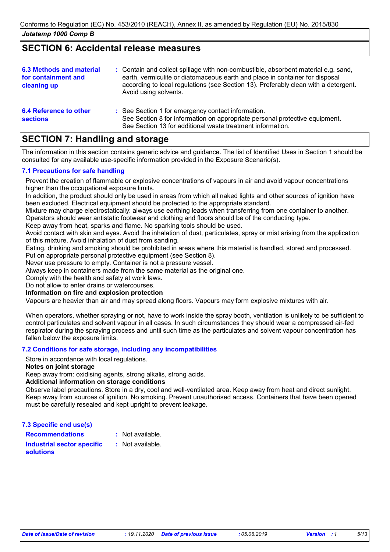# **SECTION 6: Accidental release measures**

| <b>6.3 Methods and material</b><br>for containment and<br>cleaning up | : Contain and collect spillage with non-combustible, absorbent material e.g. sand,<br>earth, vermiculite or diatomaceous earth and place in container for disposal<br>according to local regulations (see Section 13). Preferably clean with a detergent.<br>Avoid using solvents. |
|-----------------------------------------------------------------------|------------------------------------------------------------------------------------------------------------------------------------------------------------------------------------------------------------------------------------------------------------------------------------|
| 6.4 Reference to other<br><b>sections</b>                             | : See Section 1 for emergency contact information.<br>See Section 8 for information on appropriate personal protective equipment.<br>See Section 13 for additional waste treatment information.                                                                                    |

# **SECTION 7: Handling and storage**

The information in this section contains generic advice and guidance. The list of Identified Uses in Section 1 should be consulted for any available use-specific information provided in the Exposure Scenario(s).

## **7.1 Precautions for safe handling**

Prevent the creation of flammable or explosive concentrations of vapours in air and avoid vapour concentrations higher than the occupational exposure limits.

In addition, the product should only be used in areas from which all naked lights and other sources of ignition have been excluded. Electrical equipment should be protected to the appropriate standard.

Mixture may charge electrostatically: always use earthing leads when transferring from one container to another. Operators should wear antistatic footwear and clothing and floors should be of the conducting type.

Keep away from heat, sparks and flame. No sparking tools should be used.

Avoid contact with skin and eyes. Avoid the inhalation of dust, particulates, spray or mist arising from the application of this mixture. Avoid inhalation of dust from sanding.

Eating, drinking and smoking should be prohibited in areas where this material is handled, stored and processed.

Put on appropriate personal protective equipment (see Section 8).

Never use pressure to empty. Container is not a pressure vessel.

Always keep in containers made from the same material as the original one.

Comply with the health and safety at work laws.

Do not allow to enter drains or watercourses.

### **Information on fire and explosion protection**

Vapours are heavier than air and may spread along floors. Vapours may form explosive mixtures with air.

When operators, whether spraying or not, have to work inside the spray booth, ventilation is unlikely to be sufficient to control particulates and solvent vapour in all cases. In such circumstances they should wear a compressed air-fed respirator during the spraying process and until such time as the particulates and solvent vapour concentration has fallen below the exposure limits.

### **7.2 Conditions for safe storage, including any incompatibilities**

Store in accordance with local regulations.

### **Notes on joint storage**

Keep away from: oxidising agents, strong alkalis, strong acids.

### **Additional information on storage conditions**

Observe label precautions. Store in a dry, cool and well-ventilated area. Keep away from heat and direct sunlight. Keep away from sources of ignition. No smoking. Prevent unauthorised access. Containers that have been opened must be carefully resealed and kept upright to prevent leakage.

**7.3 Specific end use(s)**

**Recommendations :**

: Not available.

**Industrial sector specific : solutions**

: Not available.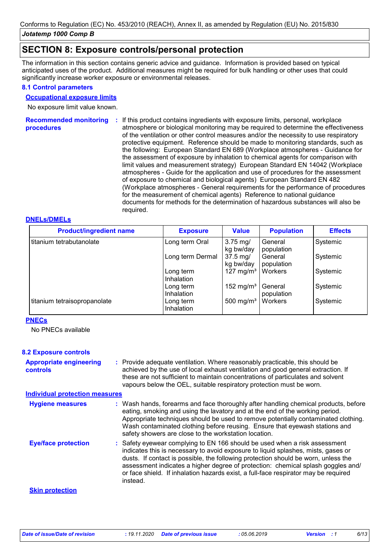# **SECTION 8: Exposure controls/personal protection**

The information in this section contains generic advice and guidance. Information is provided based on typical anticipated uses of the product. Additional measures might be required for bulk handling or other uses that could significantly increase worker exposure or environmental releases.

### **8.1 Control parameters**

### **Occupational exposure limits**

No exposure limit value known.

**Recommended monitoring**  If this product contains ingredients with exposure limits, personal, workplace **: procedures** atmosphere or biological monitoring may be required to determine the effectiveness of the ventilation or other control measures and/or the necessity to use respiratory protective equipment. Reference should be made to monitoring standards, such as the following: European Standard EN 689 (Workplace atmospheres - Guidance for the assessment of exposure by inhalation to chemical agents for comparison with limit values and measurement strategy) European Standard EN 14042 (Workplace atmospheres - Guide for the application and use of procedures for the assessment of exposure to chemical and biological agents) European Standard EN 482 (Workplace atmospheres - General requirements for the performance of procedures for the measurement of chemical agents) Reference to national guidance documents for methods for the determination of hazardous substances will also be required.

## **DNELs/DMELs**

| <b>Product/ingredient name</b> | <b>Exposure</b>                | <b>Value</b>                   | <b>Population</b>     | <b>Effects</b> |
|--------------------------------|--------------------------------|--------------------------------|-----------------------|----------------|
| titanium tetrabutanolate       | Long term Oral                 | $3.75$ mg/<br>kg bw/day        | General<br>population | Systemic       |
|                                | Long term Dermal               | $37.5 \text{ mg}$<br>kg bw/day | General<br>population | Systemic       |
|                                | Long term<br><b>Inhalation</b> | 127 mg/m <sup>3</sup>          | Workers               | Systemic       |
|                                | Long term<br>Inhalation        | 152 mg/m <sup>3</sup>          | General<br>population | Systemic       |
| titanium tetraisopropanolate   | Long term<br>Inhalation        | 500 mg/m <sup>3</sup>          | Workers               | Systemic       |

### **PNECs**

No PNECs available

### **8.2 Exposure controls**

| <b>Appropriate engineering</b> | : Provide adequate ventilation. Where reasonably practicable, this should be     |
|--------------------------------|----------------------------------------------------------------------------------|
| controls                       | achieved by the use of local exhaust ventilation and good general extraction. If |
|                                | these are not sufficient to maintain concentrations of particulates and solvent  |
|                                | vapours below the OEL, suitable respiratory protection must be worn.             |

#### **Individual protection measures**

| <b>Hygiene measures</b>    | : Wash hands, forearms and face thoroughly after handling chemical products, before<br>eating, smoking and using the lavatory and at the end of the working period.<br>Appropriate techniques should be used to remove potentially contaminated clothing.<br>Wash contaminated clothing before reusing. Ensure that eyewash stations and<br>safety showers are close to the workstation location.                                            |
|----------------------------|----------------------------------------------------------------------------------------------------------------------------------------------------------------------------------------------------------------------------------------------------------------------------------------------------------------------------------------------------------------------------------------------------------------------------------------------|
| <b>Eye/face protection</b> | : Safety eyewear complying to EN 166 should be used when a risk assessment<br>indicates this is necessary to avoid exposure to liquid splashes, mists, gases or<br>dusts. If contact is possible, the following protection should be worn, unless the<br>assessment indicates a higher degree of protection: chemical splash goggles and/<br>or face shield. If inhalation hazards exist, a full-face respirator may be required<br>instead. |
| <b>Skin protection</b>     |                                                                                                                                                                                                                                                                                                                                                                                                                                              |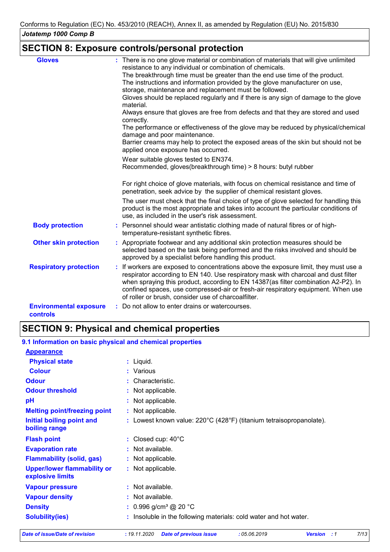# **SECTION 8: Exposure controls/personal protection**

| <b>Gloves</b>                                    | : There is no one glove material or combination of materials that will give unlimited<br>resistance to any individual or combination of chemicals.                                                                                                                                                                                                                                                          |
|--------------------------------------------------|-------------------------------------------------------------------------------------------------------------------------------------------------------------------------------------------------------------------------------------------------------------------------------------------------------------------------------------------------------------------------------------------------------------|
|                                                  | The breakthrough time must be greater than the end use time of the product.<br>The instructions and information provided by the glove manufacturer on use,                                                                                                                                                                                                                                                  |
|                                                  | storage, maintenance and replacement must be followed.                                                                                                                                                                                                                                                                                                                                                      |
|                                                  | Gloves should be replaced regularly and if there is any sign of damage to the glove<br>material.                                                                                                                                                                                                                                                                                                            |
|                                                  | Always ensure that gloves are free from defects and that they are stored and used<br>correctly.                                                                                                                                                                                                                                                                                                             |
|                                                  | The performance or effectiveness of the glove may be reduced by physical/chemical<br>damage and poor maintenance.                                                                                                                                                                                                                                                                                           |
|                                                  | Barrier creams may help to protect the exposed areas of the skin but should not be<br>applied once exposure has occurred.                                                                                                                                                                                                                                                                                   |
|                                                  | Wear suitable gloves tested to EN374.                                                                                                                                                                                                                                                                                                                                                                       |
|                                                  | Recommended, gloves(breakthrough time) > 8 hours: butyl rubber                                                                                                                                                                                                                                                                                                                                              |
|                                                  | For right choice of glove materials, with focus on chemical resistance and time of<br>penetration, seek advice by the supplier of chemical resistant gloves.                                                                                                                                                                                                                                                |
|                                                  | The user must check that the final choice of type of glove selected for handling this<br>product is the most appropriate and takes into account the particular conditions of<br>use, as included in the user's risk assessment.                                                                                                                                                                             |
| <b>Body protection</b>                           | : Personnel should wear antistatic clothing made of natural fibres or of high-<br>temperature-resistant synthetic fibres.                                                                                                                                                                                                                                                                                   |
| <b>Other skin protection</b>                     | : Appropriate footwear and any additional skin protection measures should be<br>selected based on the task being performed and the risks involved and should be<br>approved by a specialist before handling this product.                                                                                                                                                                                   |
| <b>Respiratory protection</b>                    | : If workers are exposed to concentrations above the exposure limit, they must use a<br>respirator according to EN 140. Use respiratory mask with charcoal and dust filter<br>when spraying this product, according to EN 14387(as filter combination A2-P2). In<br>confined spaces, use compressed-air or fresh-air respiratory equipment. When use<br>of roller or brush, consider use of charcoalfilter. |
| <b>Environmental exposure</b><br><b>controls</b> | : Do not allow to enter drains or watercourses.                                                                                                                                                                                                                                                                                                                                                             |

# **SECTION 9: Physical and chemical properties**

#### : Lowest known value: 220°C (428°F) (titanium tetraisopropanolate). **Physical state Melting point/freezing point Initial boiling point and boiling range Vapour pressure Density Vapour density Solubility(ies)** Liquid. **:** Not applicable. **:** 0.996 g/cm³ @ 20 °C **:** Not available. **:** Not available. **: :** Insoluble in the following materials: cold water and hot water. **Odour** Characteristic. **pH Colour** Various **: Evaporation rate Flash point**  $\qquad \qquad : \text{ Closed cup: } 40^{\circ} \text{C}$ Not applicable. **: :** Not applicable. **Odour threshold Upper/lower flammability or explosive limits :** Not applicable. : Not available. **9.1 Information on basic physical and chemical properties Appearance Flammability (solid, gas) :** : Not applicable.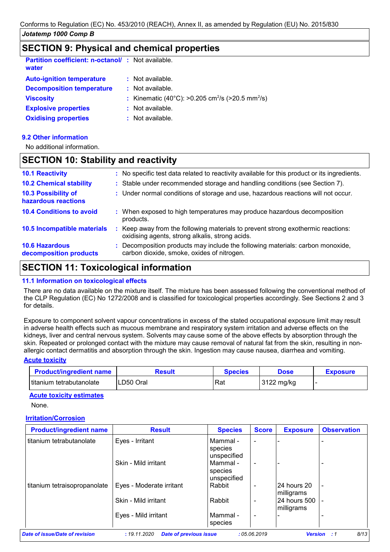# **SECTION 9: Physical and chemical properties**

| <b>Partition coefficient: n-octanol/: Not available.</b><br>water |                                                                          |
|-------------------------------------------------------------------|--------------------------------------------------------------------------|
| <b>Auto-ignition temperature</b>                                  | $:$ Not available.                                                       |
| <b>Decomposition temperature</b>                                  | $\therefore$ Not available.                                              |
| <b>Viscosity</b>                                                  | : Kinematic (40°C): >0.205 cm <sup>2</sup> /s (>20.5 mm <sup>2</sup> /s) |
| <b>Explosive properties</b>                                       | : Not available.                                                         |
| <b>Oxidising properties</b>                                       | $:$ Not available.                                                       |

### **9.2 Other information**

No additional information.

## **SECTION 10: Stability and reactivity**

| <b>10.1 Reactivity</b>                          | : No specific test data related to reactivity available for this product or its ingredients.                                        |
|-------------------------------------------------|-------------------------------------------------------------------------------------------------------------------------------------|
| <b>10.2 Chemical stability</b>                  | : Stable under recommended storage and handling conditions (see Section 7).                                                         |
| 10.3 Possibility of<br>hazardous reactions      | : Under normal conditions of storage and use, hazardous reactions will not occur.                                                   |
| <b>10.4 Conditions to avoid</b>                 | : When exposed to high temperatures may produce hazardous decomposition<br>products.                                                |
| 10.5 Incompatible materials                     | : Keep away from the following materials to prevent strong exothermic reactions:<br>oxidising agents, strong alkalis, strong acids. |
| <b>10.6 Hazardous</b><br>decomposition products | : Decomposition products may include the following materials: carbon monoxide,<br>carbon dioxide, smoke, oxides of nitrogen.        |

# **SECTION 11: Toxicological information**

### **11.1 Information on toxicological effects**

There are no data available on the mixture itself. The mixture has been assessed following the conventional method of the CLP Regulation (EC) No 1272/2008 and is classified for toxicological properties accordingly. See Sections 2 and 3 for details.

Exposure to component solvent vapour concentrations in excess of the stated occupational exposure limit may result in adverse health effects such as mucous membrane and respiratory system irritation and adverse effects on the kidneys, liver and central nervous system. Solvents may cause some of the above effects by absorption through the skin. Repeated or prolonged contact with the mixture may cause removal of natural fat from the skin, resulting in nonallergic contact dermatitis and absorption through the skin. Ingestion may cause nausea, diarrhea and vomiting.

#### **Acute toxicity**

| <b>Product/ingredient name</b> | Result    | Species | Dose       | <b>Exposure</b> |
|--------------------------------|-----------|---------|------------|-----------------|
| l titanium tetrabutanolate     | LD50 Oral | Rat     | 3122 mg/kg |                 |

### **Acute toxicity estimates**

None.

### **Irritation/Corrosion**

| <b>Product/ingredient name</b> | <b>Result</b>            | <b>Species</b>          | <b>Score</b>             | <b>Exposure</b>            | <b>Observation</b> |
|--------------------------------|--------------------------|-------------------------|--------------------------|----------------------------|--------------------|
| titanium tetrabutanolate       | Eyes - Irritant          | Mammal -<br>species     | $\blacksquare$           |                            |                    |
|                                | Skin - Mild irritant     | unspecified<br>Mammal - | $\blacksquare$           |                            |                    |
|                                |                          | species<br>unspecified  |                          |                            |                    |
| titanium tetraisopropanolate   | Eyes - Moderate irritant | Rabbit                  | $\overline{\phantom{a}}$ | 24 hours 20<br>milligrams  | $\blacksquare$     |
|                                | Skin - Mild irritant     | Rabbit                  | $\overline{\phantom{0}}$ | 24 hours 500<br>milligrams | $\blacksquare$     |
|                                | Eyes - Mild irritant     | Mammal -<br>species     | $\blacksquare$           |                            |                    |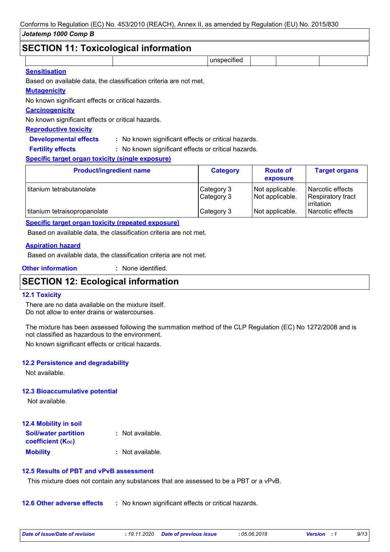# **SECTION 11: Toxicological information**

| SECTION TT: TOXICOlOGICALINIONINATION |  |             |  |  |  |
|---------------------------------------|--|-------------|--|--|--|
|                                       |  | unspecified |  |  |  |
| $\sim$ $\sim$ $\sim$ $\sim$ $\sim$    |  |             |  |  |  |

### **Sensitisation**

Based on available data, the classification criteria are not met.

### **Mutagenicity**

No known significant effects or critical hazards.

## **Carcinogenicity**

No known significant effects or critical hazards.

## **Reproductive toxicity**

**Developmental effects :** : No known significant effects or critical hazards.

: No known significant effects or critical hazards. **Fertility effects :**

## **Specific target organ toxicity (single exposure)**

| <b>Product/ingredient name</b> | <b>Category</b>          | <b>Route of</b><br>exposure        | <b>Target organs</b>                                |
|--------------------------------|--------------------------|------------------------------------|-----------------------------------------------------|
| titanium tetrabutanolate       | Category 3<br>Category 3 | Not applicable.<br>Not applicable. | Narcotic effects<br>Respiratory tract<br>irritation |
| titanium tetraisopropanolate   | Category 3               | Not applicable.                    | Narcotic effects                                    |

### **Specific target organ toxicity (repeated exposure)**

Based on available data, the classification criteria are not met.

## **Aspiration hazard**

Based on available data, the classification criteria are not met.

**Other information :** : None identified.

# **SECTION 12: Ecological information**

### **12.1 Toxicity**

There are no data available on the mixture itself. Do not allow to enter drains or watercourses.

The mixture has been assessed following the summation method of the CLP Regulation (EC) No 1272/2008 and is not classified as hazardous to the environment.

No known significant effects or critical hazards.

## **12.2 Persistence and degradability**

Not available.

### **12.3 Bioaccumulative potential**

Not available.

| <b>12.4 Mobility in soil</b>                                  |                  |
|---------------------------------------------------------------|------------------|
| <b>Soil/water partition</b><br>coefficient (K <sub>oc</sub> ) | : Not available. |
| <b>Mobility</b>                                               | : Not available. |

### **12.5 Results of PBT and vPvB assessment**

This mixture does not contain any substances that are assessed to be a PBT or a vPvB.

**12.6 Other adverse effects** : No known significant effects or critical hazards.

| Date of issue/Date of revision | : 19.11.2020 Date of previous issue | : 05.06.2019 | <b>Version</b> : 1 | 9/13 |
|--------------------------------|-------------------------------------|--------------|--------------------|------|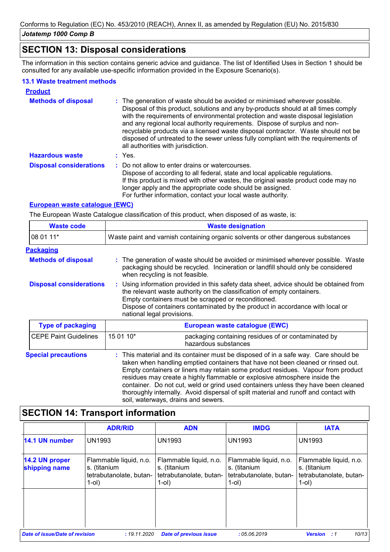# **SECTION 13: Disposal considerations**

The information in this section contains generic advice and guidance. The list of Identified Uses in Section 1 should be consulted for any available use-specific information provided in the Exposure Scenario(s).

## **13.1 Waste treatment methods**

| <b>Product</b>                 |                                                                                                                                                                                                                                                                                                                                                                                                                                                                                                                                                      |
|--------------------------------|------------------------------------------------------------------------------------------------------------------------------------------------------------------------------------------------------------------------------------------------------------------------------------------------------------------------------------------------------------------------------------------------------------------------------------------------------------------------------------------------------------------------------------------------------|
| <b>Methods of disposal</b>     | : The generation of waste should be avoided or minimised wherever possible.<br>Disposal of this product, solutions and any by-products should at all times comply<br>with the requirements of environmental protection and waste disposal legislation<br>and any regional local authority requirements. Dispose of surplus and non-<br>recyclable products via a licensed waste disposal contractor. Waste should not be<br>disposed of untreated to the sewer unless fully compliant with the requirements of<br>all authorities with jurisdiction. |
| <b>Hazardous waste</b>         | : Yes.                                                                                                                                                                                                                                                                                                                                                                                                                                                                                                                                               |
| <b>Disposal considerations</b> | : Do not allow to enter drains or watercourses.<br>Dispose of according to all federal, state and local applicable regulations.<br>If this product is mixed with other wastes, the original waste product code may no<br>longer apply and the appropriate code should be assigned.<br>For further information, contact your local waste authority.                                                                                                                                                                                                   |

## **European waste catalogue (EWC)**

The European Waste Catalogue classification of this product, when disposed of as waste, is:

| <b>Waste code</b>              | <b>Waste designation</b><br>Waste paint and varnish containing organic solvents or other dangerous substances                                                                                                                                                                                                                           |                                                                                                                                                                                                                                                            |  |
|--------------------------------|-----------------------------------------------------------------------------------------------------------------------------------------------------------------------------------------------------------------------------------------------------------------------------------------------------------------------------------------|------------------------------------------------------------------------------------------------------------------------------------------------------------------------------------------------------------------------------------------------------------|--|
| 08 01 11*                      |                                                                                                                                                                                                                                                                                                                                         |                                                                                                                                                                                                                                                            |  |
| <b>Packaging</b>               |                                                                                                                                                                                                                                                                                                                                         |                                                                                                                                                                                                                                                            |  |
| <b>Methods of disposal</b>     |                                                                                                                                                                                                                                                                                                                                         | : The generation of waste should be avoided or minimised wherever possible. Waste<br>packaging should be recycled. Incineration or landfill should only be considered<br>when recycling is not feasible.                                                   |  |
| <b>Disposal considerations</b> | : Using information provided in this safety data sheet, advice should be obtained from<br>the relevant waste authority on the classification of empty containers.<br>Empty containers must be scrapped or reconditioned.<br>Dispose of containers contaminated by the product in accordance with local or<br>national legal provisions. |                                                                                                                                                                                                                                                            |  |
| <b>Type of packaging</b>       |                                                                                                                                                                                                                                                                                                                                         | European waste catalogue (EWC)                                                                                                                                                                                                                             |  |
| <b>CEPE Paint Guidelines</b>   | 15 01 10*                                                                                                                                                                                                                                                                                                                               | packaging containing residues of or contaminated by<br>hazardous substances                                                                                                                                                                                |  |
| <b>Special precautions</b>     |                                                                                                                                                                                                                                                                                                                                         | : This material and its container must be disposed of in a safe way. Care should be<br>taken when handling emptied containers that have not been cleaned or rinsed out.<br>Empty containers or liners may retain some product residues Napour from product |  |

Empty containers or liners may retain some product residues. Vapour from product residues may create a highly flammable or explosive atmosphere inside the container. Do not cut, weld or grind used containers unless they have been cleaned thoroughly internally. Avoid dispersal of spilt material and runoff and contact with soil, waterways, drains and sewers.

# **SECTION 14: Transport information**

|                                       | <b>ADR/RID</b>                                                                | <b>ADN</b>                                                                    | <b>IMDG</b>                                                                   | <b>IATA</b>                                                                   |
|---------------------------------------|-------------------------------------------------------------------------------|-------------------------------------------------------------------------------|-------------------------------------------------------------------------------|-------------------------------------------------------------------------------|
| 14.1 UN number                        | <b>UN1993</b>                                                                 | <b>UN1993</b>                                                                 | <b>UN1993</b>                                                                 | <b>UN1993</b>                                                                 |
| 14.2 UN proper<br>shipping name       | Flammable liquid, n.o.<br>s. (titanium<br>tetrabutanolate, butan-<br>$1$ -ol) | Flammable liquid, n.o.<br>s. (titanium<br>tetrabutanolate, butan-<br>$1$ -ol) | Flammable liquid, n.o.<br>s. (titanium<br>tetrabutanolate, butan-<br>$1$ -ol) | Flammable liquid, n.o.<br>s. (titanium<br>tetrabutanolate, butan-<br>$1$ -ol) |
|                                       |                                                                               |                                                                               |                                                                               |                                                                               |
| <b>Date of issue/Date of revision</b> | : 19.11.2020                                                                  | <b>Date of previous issue</b>                                                 | :05.06.2019                                                                   | 10/13<br><b>Version</b><br>- : 1                                              |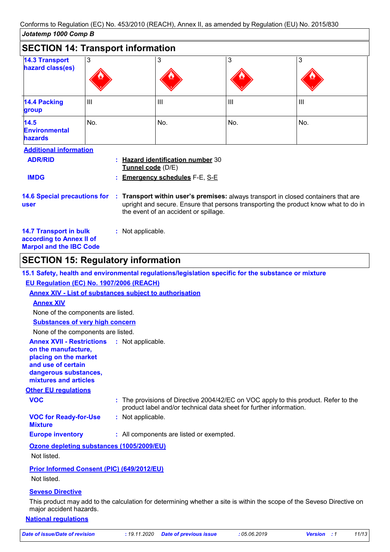| Oualemp Toop Comp D                                                                                                                                                                                                                                     |                |                                                                                                    |     |                |
|---------------------------------------------------------------------------------------------------------------------------------------------------------------------------------------------------------------------------------------------------------|----------------|----------------------------------------------------------------------------------------------------|-----|----------------|
| <b>SECTION 14: Transport information</b>                                                                                                                                                                                                                |                |                                                                                                    |     |                |
| <b>14.3 Transport</b><br>hazard class(es)                                                                                                                                                                                                               | 3              | 3                                                                                                  | 3   | 3              |
| 14.4 Packing<br>group                                                                                                                                                                                                                                   | $\mathbf{III}$ | Ш                                                                                                  | III | $\mathbf{III}$ |
| 14.5<br><b>Environmental</b><br><b>hazards</b>                                                                                                                                                                                                          | No.            | No.                                                                                                | No. | No.            |
| <b>Additional information</b><br><b>ADR/RID</b><br><b>IMDG</b>                                                                                                                                                                                          |                | <b>Hazard identification number 30</b><br>Tunnel code (D/E)<br><b>Emergency schedules F-E, S-E</b> |     |                |
| 14.6 Special precautions for : Transport within user's premises: always transport in closed containers that are<br>upright and secure. Ensure that persons transporting the product know what to do in<br>user<br>the event of an accident or spillage. |                |                                                                                                    |     |                |
| <b>14.7 Transport in bulk</b><br>: Not applicable.<br>according to Annex II of                                                                                                                                                                          |                |                                                                                                    |     |                |

**Marpol and the IBC Code**

# **SECTION 15: Regulatory information**

|                                                                                                                                                          | 15.1 Safety, health and environmental regulations/legislation specific for the substance or mixture                                                       |
|----------------------------------------------------------------------------------------------------------------------------------------------------------|-----------------------------------------------------------------------------------------------------------------------------------------------------------|
| EU Regulation (EC) No. 1907/2006 (REACH)                                                                                                                 |                                                                                                                                                           |
|                                                                                                                                                          | <b>Annex XIV - List of substances subject to authorisation</b>                                                                                            |
| <b>Annex XIV</b>                                                                                                                                         |                                                                                                                                                           |
| None of the components are listed.                                                                                                                       |                                                                                                                                                           |
| <b>Substances of very high concern</b>                                                                                                                   |                                                                                                                                                           |
| None of the components are listed.                                                                                                                       |                                                                                                                                                           |
| <b>Annex XVII - Restrictions</b><br>on the manufacture,<br>placing on the market<br>and use of certain<br>dangerous substances,<br>mixtures and articles | : Not applicable.                                                                                                                                         |
| <b>Other EU regulations</b>                                                                                                                              |                                                                                                                                                           |
| <b>VOC</b>                                                                                                                                               | : The provisions of Directive 2004/42/EC on VOC apply to this product. Refer to the<br>product label and/or technical data sheet for further information. |
| <b>VOC for Ready-for-Use</b><br><b>Mixture</b>                                                                                                           | : Not applicable.                                                                                                                                         |
| <b>Europe inventory</b>                                                                                                                                  | : All components are listed or exempted.                                                                                                                  |
| Ozone depleting substances (1005/2009/EU)                                                                                                                |                                                                                                                                                           |
| Not listed.                                                                                                                                              |                                                                                                                                                           |
| Prior Informed Consent (PIC) (649/2012/EU)<br>Not listed.                                                                                                |                                                                                                                                                           |
| <b>Seveso Directive</b>                                                                                                                                  |                                                                                                                                                           |

This product may add to the calculation for determining whether a site is within the scope of the Seveso Directive on major accident hazards.

## **National regulations**

*Date of issue/Date of revision* **:** *19.11.2020 Date of previous issue : 05.06.2019 Version : 1 11/13*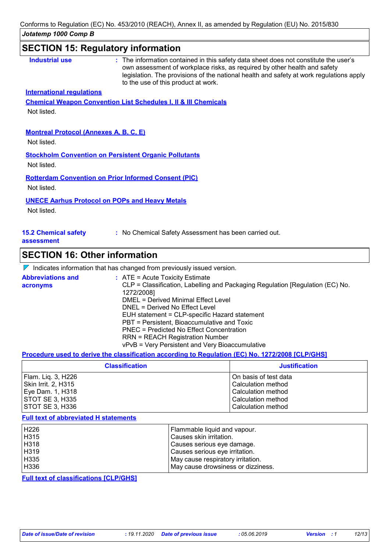# **SECTION 15: Regulatory information**

| <b>International regulations</b><br>Not listed.<br><b>Montreal Protocol (Annexes A, B, C, E)</b> | <b>Chemical Weapon Convention List Schedules I, II &amp; III Chemicals</b> |
|--------------------------------------------------------------------------------------------------|----------------------------------------------------------------------------|
|                                                                                                  |                                                                            |
|                                                                                                  |                                                                            |
|                                                                                                  |                                                                            |
|                                                                                                  |                                                                            |
|                                                                                                  |                                                                            |
| Not listed.                                                                                      |                                                                            |
| <b>Stockholm Convention on Persistent Organic Pollutants</b>                                     |                                                                            |
| Not listed.                                                                                      |                                                                            |
| <b>Rotterdam Convention on Prior Informed Consent (PIC)</b>                                      |                                                                            |
| Not listed.                                                                                      |                                                                            |
| <b>UNECE Aarhus Protocol on POPs and Heavy Metals</b>                                            |                                                                            |
| Not listed.                                                                                      |                                                                            |
|                                                                                                  |                                                                            |

#### **assessment**

# **SECTION 16: Other information**

|  | $\nabla$ Indicates information that has changed from previously issued version. |  |
|--|---------------------------------------------------------------------------------|--|
|  |                                                                                 |  |

| <b>Abbreviations and</b><br>acronyms | $\therefore$ ATE = Acute Toxicity Estimate<br>CLP = Classification, Labelling and Packaging Regulation [Regulation (EC) No.<br>1272/2008] |
|--------------------------------------|-------------------------------------------------------------------------------------------------------------------------------------------|
|                                      | DMEL = Derived Minimal Effect Level                                                                                                       |
|                                      | DNEL = Derived No Effect Level                                                                                                            |
|                                      | EUH statement = CLP-specific Hazard statement                                                                                             |
|                                      | PBT = Persistent, Bioaccumulative and Toxic                                                                                               |
|                                      | PNEC = Predicted No Effect Concentration                                                                                                  |
|                                      | <b>RRN = REACH Registration Number</b>                                                                                                    |
|                                      | vPvB = Very Persistent and Very Bioaccumulative                                                                                           |

## **Procedure used to derive the classification according to Regulation (EC) No. 1272/2008 [CLP/GHS]**

| <b>Classification</b> | <b>Justification</b>  |
|-----------------------|-----------------------|
| Flam. Liq. 3, H226    | On basis of test data |
| Skin Irrit. 2, H315   | Calculation method    |
| Eye Dam. 1, H318      | Calculation method    |
| STOT SE 3, H335       | Calculation method    |
| STOT SE 3, H336       | Calculation method    |

#### **Full text of abbreviated H statements**

| H <sub>226</sub> | Flammable liquid and vapour.       |
|------------------|------------------------------------|
| H315             | Causes skin irritation.            |
| H318             | Causes serious eye damage.         |
| H319             | Causes serious eye irritation.     |
| H335             | May cause respiratory irritation.  |
| H336             | May cause drowsiness or dizziness. |

**Full text of classifications [CLP/GHS]**